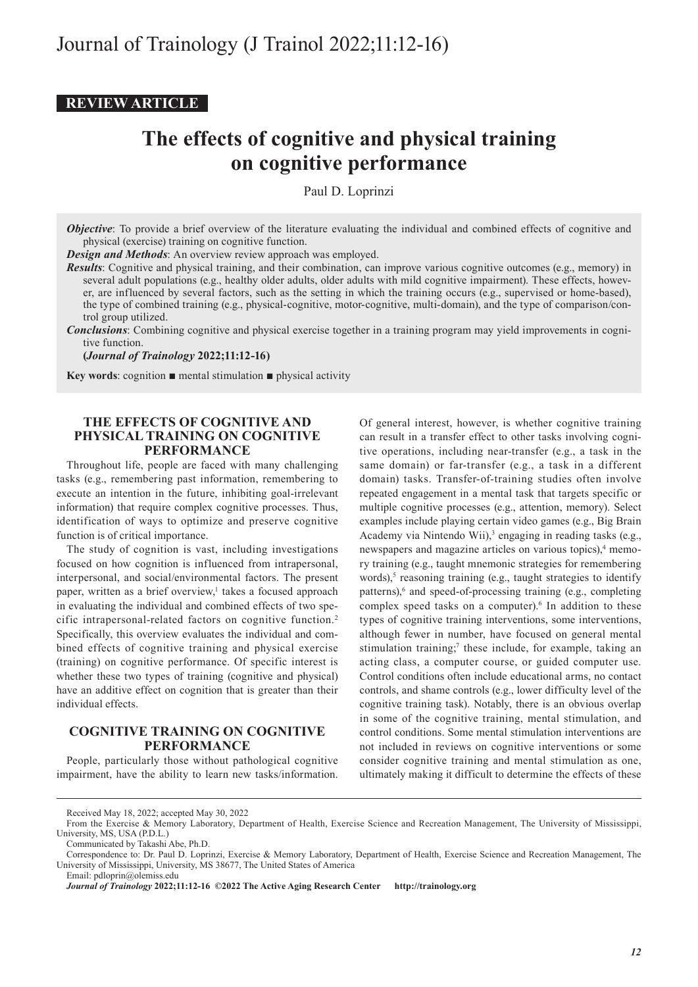## **REVIEW ARTICLE**

# **The effects of cognitive and physical training on cognitive performance**

Paul D. Loprinzi

*Objective*: To provide a brief overview of the literature evaluating the individual and combined effects of cognitive and physical (exercise) training on cognitive function.

*Design and Methods*: An overview review approach was employed.

*Results*: Cognitive and physical training, and their combination, can improve various cognitive outcomes (e.g., memory) in several adult populations (e.g., healthy older adults, older adults with mild cognitive impairment). These effects, however, are influenced by several factors, such as the setting in which the training occurs (e.g., supervised or home-based), the type of combined training (e.g., physical-cognitive, motor-cognitive, multi-domain), and the type of comparison/control group utilized.

*Conclusions*: Combining cognitive and physical exercise together in a training program may yield improvements in cognitive function.

**(***Journal of Trainology* **2022;11:12-16)**

**Key words:** cognition  $\blacksquare$  mental stimulation  $\blacksquare$  physical activity

#### **THE EFFECTS OF COGNITIVE AND PHYSICAL TRAINING ON COGNITIVE PERFORMANCE**

Throughout life, people are faced with many challenging tasks (e.g., remembering past information, remembering to execute an intention in the future, inhibiting goal-irrelevant information) that require complex cognitive processes. Thus, identification of ways to optimize and preserve cognitive function is of critical importance.

The study of cognition is vast, including investigations focused on how cognition is influenced from intrapersonal, interpersonal, and social/environmental factors. The present paper, written as a brief overview,<sup>1</sup> takes a focused approach in evaluating the individual and combined effects of two specific intrapersonal-related factors on cognitive function.2 Specifically, this overview evaluates the individual and combined effects of cognitive training and physical exercise (training) on cognitive performance. Of specific interest is whether these two types of training (cognitive and physical) have an additive effect on cognition that is greater than their individual effects.

### **COGNITIVE TRAINING ON COGNITIVE PERFORMANCE**

People, particularly those without pathological cognitive impairment, have the ability to learn new tasks/information.

Of general interest, however, is whether cognitive training can result in a transfer effect to other tasks involving cognitive operations, including near-transfer (e.g., a task in the same domain) or far-transfer (e.g., a task in a different domain) tasks. Transfer-of-training studies often involve repeated engagement in a mental task that targets specific or multiple cognitive processes (e.g., attention, memory). Select examples include playing certain video games (e.g., Big Brain Academy via Nintendo Wii),<sup>3</sup> engaging in reading tasks (e.g., newspapers and magazine articles on various topics),<sup>4</sup> memory training (e.g., taught mnemonic strategies for remembering words),<sup>5</sup> reasoning training (e.g., taught strategies to identify patterns),<sup>6</sup> and speed-of-processing training (e.g., completing complex speed tasks on a computer).<sup>6</sup> In addition to these types of cognitive training interventions, some interventions, although fewer in number, have focused on general mental stimulation training;<sup>7</sup> these include, for example, taking an acting class, a computer course, or guided computer use. Control conditions often include educational arms, no contact controls, and shame controls (e.g., lower difficulty level of the cognitive training task). Notably, there is an obvious overlap in some of the cognitive training, mental stimulation, and control conditions. Some mental stimulation interventions are not included in reviews on cognitive interventions or some consider cognitive training and mental stimulation as one, ultimately making it difficult to determine the effects of these

Received May 18, 2022; accepted May 30, 2022

From the Exercise & Memory Laboratory, Department of Health, Exercise Science and Recreation Management, The University of Mississippi, University, MS, USA (P.D.L.)

Communicated by Takashi Abe, Ph.D.

Correspondence to: Dr. Paul D. Loprinzi, Exercise & Memory Laboratory, Department of Health, Exercise Science and Recreation Management, The University of Mississippi, University, MS 38677, The United States of America Email: pdloprin@olemiss.edu

*Journal of Trainology* **2022;11:12-16 ©2022 The Active Aging Research Center http://trainology.org**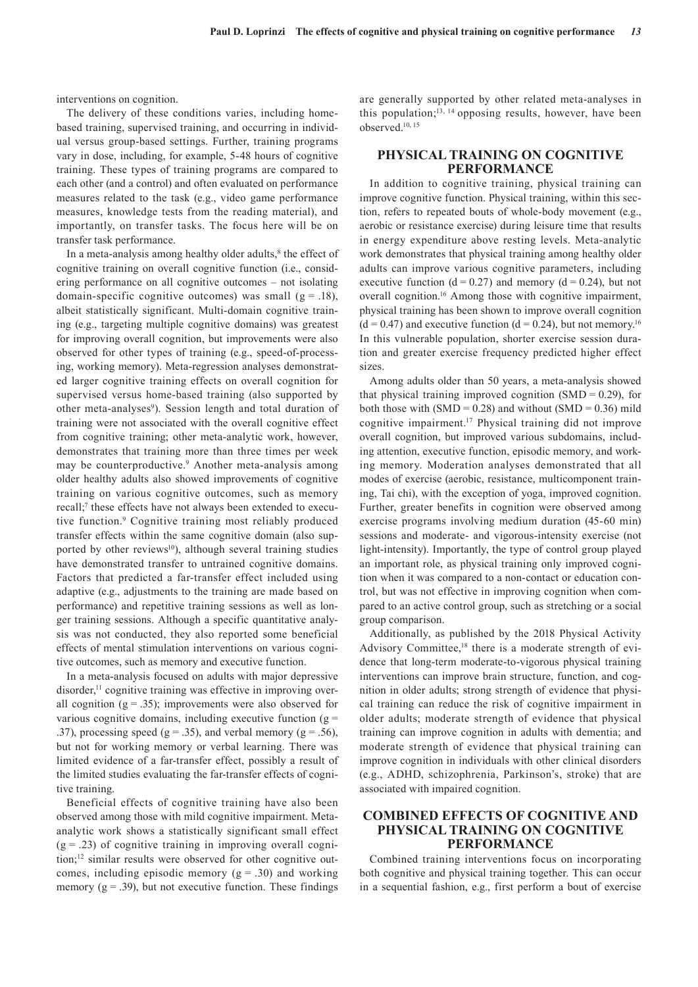interventions on cognition.

The delivery of these conditions varies, including homebased training, supervised training, and occurring in individual versus group-based settings. Further, training programs vary in dose, including, for example, 5-48 hours of cognitive training. These types of training programs are compared to each other (and a control) and often evaluated on performance measures related to the task (e.g., video game performance measures, knowledge tests from the reading material), and importantly, on transfer tasks. The focus here will be on transfer task performance.

In a meta-analysis among healthy older adults,<sup>8</sup> the effect of cognitive training on overall cognitive function (i.e., considering performance on all cognitive outcomes – not isolating domain-specific cognitive outcomes) was small  $(g = .18)$ , albeit statistically significant. Multi-domain cognitive training (e.g., targeting multiple cognitive domains) was greatest for improving overall cognition, but improvements were also observed for other types of training (e.g., speed-of-processing, working memory). Meta-regression analyses demonstrated larger cognitive training effects on overall cognition for supervised versus home-based training (also supported by other meta-analyses<sup>9</sup>). Session length and total duration of training were not associated with the overall cognitive effect from cognitive training; other meta-analytic work, however, demonstrates that training more than three times per week may be counterproductive.<sup>9</sup> Another meta-analysis among older healthy adults also showed improvements of cognitive training on various cognitive outcomes, such as memory recall;<sup>7</sup> these effects have not always been extended to executive function.<sup>9</sup> Cognitive training most reliably produced transfer effects within the same cognitive domain (also supported by other reviews<sup>10</sup>), although several training studies have demonstrated transfer to untrained cognitive domains. Factors that predicted a far-transfer effect included using adaptive (e.g., adjustments to the training are made based on performance) and repetitive training sessions as well as longer training sessions. Although a specific quantitative analysis was not conducted, they also reported some beneficial effects of mental stimulation interventions on various cognitive outcomes, such as memory and executive function.

In a meta-analysis focused on adults with major depressive disorder,<sup>11</sup> cognitive training was effective in improving overall cognition  $(g = .35)$ ; improvements were also observed for various cognitive domains, including executive function  $(g =$ .37), processing speed ( $g = .35$ ), and verbal memory ( $g = .56$ ), but not for working memory or verbal learning. There was limited evidence of a far-transfer effect, possibly a result of the limited studies evaluating the far-transfer effects of cognitive training.

Beneficial effects of cognitive training have also been observed among those with mild cognitive impairment. Metaanalytic work shows a statistically significant small effect  $(g = .23)$  of cognitive training in improving overall cognition;12 similar results were observed for other cognitive outcomes, including episodic memory  $(g = .30)$  and working memory  $(g = .39)$ , but not executive function. These findings

are generally supported by other related meta-analyses in this population; $13, 14$  opposing results, however, have been observed.10, 15

#### **PHYSICAL TRAINING ON COGNITIVE PERFORMANCE**

In addition to cognitive training, physical training can improve cognitive function. Physical training, within this section, refers to repeated bouts of whole-body movement (e.g., aerobic or resistance exercise) during leisure time that results in energy expenditure above resting levels. Meta-analytic work demonstrates that physical training among healthy older adults can improve various cognitive parameters, including executive function  $(d = 0.27)$  and memory  $(d = 0.24)$ , but not overall cognition.16 Among those with cognitive impairment, physical training has been shown to improve overall cognition  $(d = 0.47)$  and executive function  $(d = 0.24)$ , but not memory.<sup>16</sup> In this vulnerable population, shorter exercise session duration and greater exercise frequency predicted higher effect sizes.

Among adults older than 50 years, a meta-analysis showed that physical training improved cognition  $(SMD = 0.29)$ , for both those with  $(SMD = 0.28)$  and without  $(SMD = 0.36)$  mild cognitive impairment.17 Physical training did not improve overall cognition, but improved various subdomains, including attention, executive function, episodic memory, and working memory. Moderation analyses demonstrated that all modes of exercise (aerobic, resistance, multicomponent training, Tai chi), with the exception of yoga, improved cognition. Further, greater benefits in cognition were observed among exercise programs involving medium duration (45-60 min) sessions and moderate- and vigorous-intensity exercise (not light-intensity). Importantly, the type of control group played an important role, as physical training only improved cognition when it was compared to a non-contact or education control, but was not effective in improving cognition when compared to an active control group, such as stretching or a social group comparison.

Additionally, as published by the 2018 Physical Activity Advisory Committee,<sup>18</sup> there is a moderate strength of evidence that long-term moderate-to-vigorous physical training interventions can improve brain structure, function, and cognition in older adults; strong strength of evidence that physical training can reduce the risk of cognitive impairment in older adults; moderate strength of evidence that physical training can improve cognition in adults with dementia; and moderate strength of evidence that physical training can improve cognition in individuals with other clinical disorders (e.g., ADHD, schizophrenia, Parkinson's, stroke) that are associated with impaired cognition.

#### **COMBINED EFFECTS OF COGNITIVE AND PHYSICAL TRAINING ON COGNITIVE PERFORMANCE**

Combined training interventions focus on incorporating both cognitive and physical training together. This can occur in a sequential fashion, e.g., first perform a bout of exercise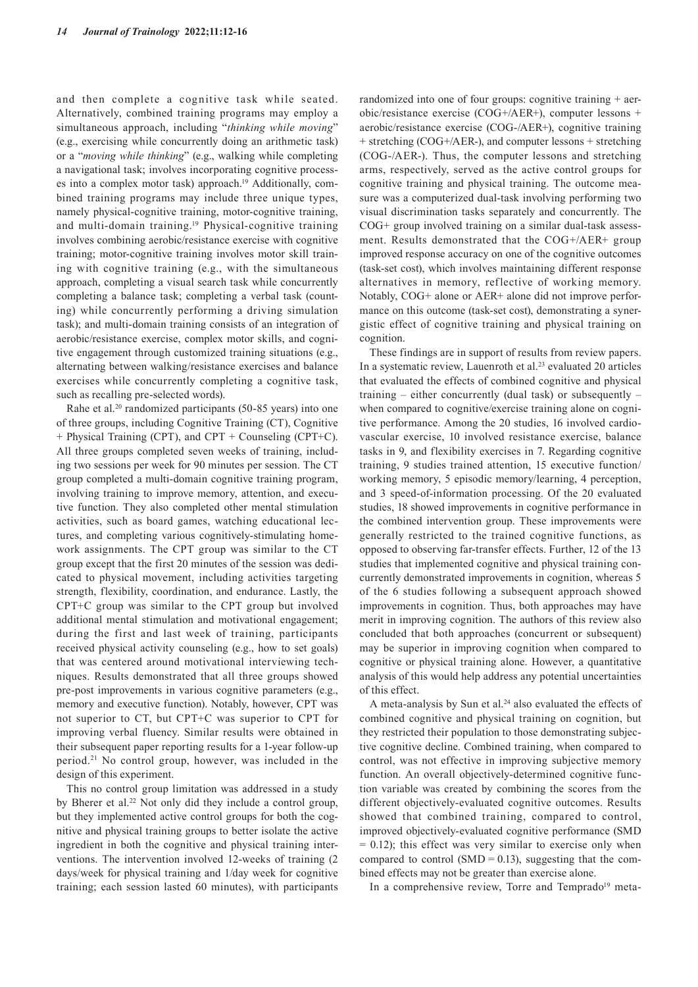and then complete a cognitive task while seated. Alternatively, combined training programs may employ a simultaneous approach, including "*thinking while moving*" (e.g., exercising while concurrently doing an arithmetic task) or a "*moving while thinking*" (e.g., walking while completing a navigational task; involves incorporating cognitive processes into a complex motor task) approach.19 Additionally, combined training programs may include three unique types, namely physical-cognitive training, motor-cognitive training, and multi-domain training.19 Physical-cognitive training involves combining aerobic/resistance exercise with cognitive training; motor-cognitive training involves motor skill training with cognitive training (e.g., with the simultaneous approach, completing a visual search task while concurrently completing a balance task; completing a verbal task (counting) while concurrently performing a driving simulation task); and multi-domain training consists of an integration of aerobic/resistance exercise, complex motor skills, and cognitive engagement through customized training situations (e.g., alternating between walking/resistance exercises and balance exercises while concurrently completing a cognitive task, such as recalling pre-selected words).

Rahe et al.<sup>20</sup> randomized participants (50-85 years) into one of three groups, including Cognitive Training (CT), Cognitive + Physical Training (CPT), and CPT + Counseling (CPT+C). All three groups completed seven weeks of training, including two sessions per week for 90 minutes per session. The CT group completed a multi-domain cognitive training program, involving training to improve memory, attention, and executive function. They also completed other mental stimulation activities, such as board games, watching educational lectures, and completing various cognitively-stimulating homework assignments. The CPT group was similar to the CT group except that the first 20 minutes of the session was dedicated to physical movement, including activities targeting strength, flexibility, coordination, and endurance. Lastly, the CPT+C group was similar to the CPT group but involved additional mental stimulation and motivational engagement; during the first and last week of training, participants received physical activity counseling (e.g., how to set goals) that was centered around motivational interviewing techniques. Results demonstrated that all three groups showed pre-post improvements in various cognitive parameters (e.g., memory and executive function). Notably, however, CPT was not superior to CT, but CPT+C was superior to CPT for improving verbal fluency. Similar results were obtained in their subsequent paper reporting results for a 1-year follow-up period.21 No control group, however, was included in the design of this experiment.

This no control group limitation was addressed in a study by Bherer et al.22 Not only did they include a control group, but they implemented active control groups for both the cognitive and physical training groups to better isolate the active ingredient in both the cognitive and physical training interventions. The intervention involved 12-weeks of training (2 days/week for physical training and 1/day week for cognitive training; each session lasted 60 minutes), with participants

randomized into one of four groups: cognitive training + aerobic/resistance exercise (COG+/AER+), computer lessons + aerobic/resistance exercise (COG-/AER+), cognitive training + stretching (COG+/AER-), and computer lessons + stretching (COG-/AER-). Thus, the computer lessons and stretching arms, respectively, served as the active control groups for cognitive training and physical training. The outcome measure was a computerized dual-task involving performing two visual discrimination tasks separately and concurrently. The COG+ group involved training on a similar dual-task assessment. Results demonstrated that the COG+/AER+ group improved response accuracy on one of the cognitive outcomes (task-set cost), which involves maintaining different response alternatives in memory, reflective of working memory. Notably, COG+ alone or AER+ alone did not improve performance on this outcome (task-set cost), demonstrating a synergistic effect of cognitive training and physical training on cognition.

These findings are in support of results from review papers. In a systematic review, Lauenroth et al.<sup>23</sup> evaluated 20 articles that evaluated the effects of combined cognitive and physical training – either concurrently (dual task) or subsequently – when compared to cognitive/exercise training alone on cognitive performance. Among the 20 studies, 16 involved cardiovascular exercise, 10 involved resistance exercise, balance tasks in 9, and flexibility exercises in 7. Regarding cognitive training, 9 studies trained attention, 15 executive function/ working memory, 5 episodic memory/learning, 4 perception, and 3 speed-of-information processing. Of the 20 evaluated studies, 18 showed improvements in cognitive performance in the combined intervention group. These improvements were generally restricted to the trained cognitive functions, as opposed to observing far-transfer effects. Further, 12 of the 13 studies that implemented cognitive and physical training concurrently demonstrated improvements in cognition, whereas 5 of the 6 studies following a subsequent approach showed improvements in cognition. Thus, both approaches may have merit in improving cognition. The authors of this review also concluded that both approaches (concurrent or subsequent) may be superior in improving cognition when compared to cognitive or physical training alone. However, a quantitative analysis of this would help address any potential uncertainties of this effect.

A meta-analysis by Sun et al.<sup>24</sup> also evaluated the effects of combined cognitive and physical training on cognition, but they restricted their population to those demonstrating subjective cognitive decline. Combined training, when compared to control, was not effective in improving subjective memory function. An overall objectively-determined cognitive function variable was created by combining the scores from the different objectively-evaluated cognitive outcomes. Results showed that combined training, compared to control, improved objectively-evaluated cognitive performance (SMD  $= 0.12$ ); this effect was very similar to exercise only when compared to control (SMD =  $0.13$ ), suggesting that the combined effects may not be greater than exercise alone.

In a comprehensive review, Torre and Temprado<sup>19</sup> meta-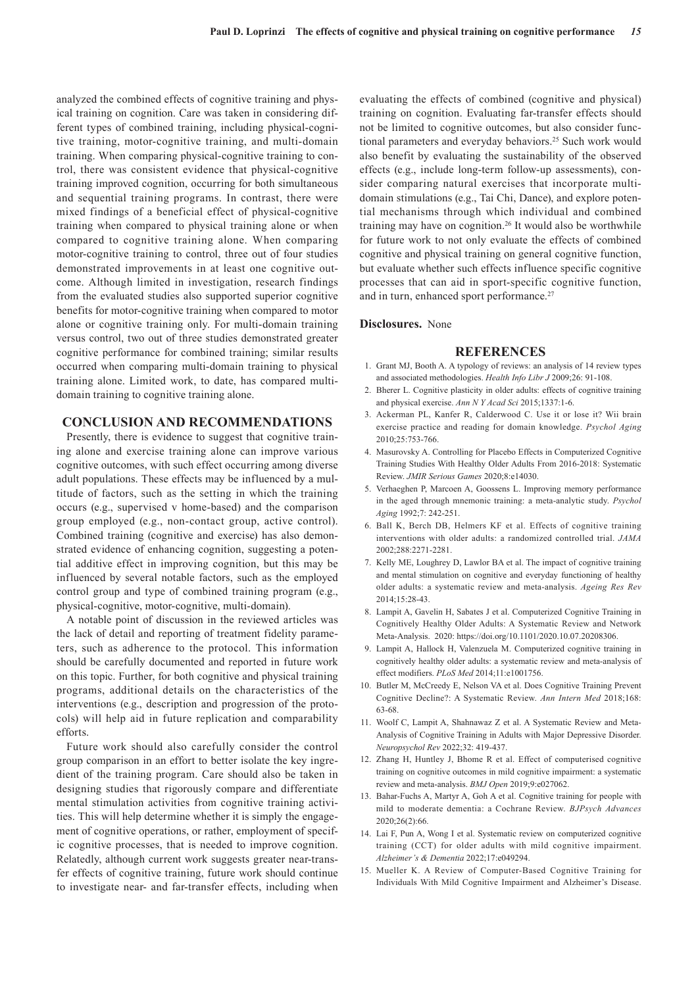analyzed the combined effects of cognitive training and physical training on cognition. Care was taken in considering different types of combined training, including physical-cognitive training, motor-cognitive training, and multi-domain training. When comparing physical-cognitive training to control, there was consistent evidence that physical-cognitive training improved cognition, occurring for both simultaneous and sequential training programs. In contrast, there were mixed findings of a beneficial effect of physical-cognitive training when compared to physical training alone or when compared to cognitive training alone. When comparing motor-cognitive training to control, three out of four studies demonstrated improvements in at least one cognitive outcome. Although limited in investigation, research findings from the evaluated studies also supported superior cognitive benefits for motor-cognitive training when compared to motor alone or cognitive training only. For multi-domain training versus control, two out of three studies demonstrated greater cognitive performance for combined training; similar results occurred when comparing multi-domain training to physical training alone. Limited work, to date, has compared multidomain training to cognitive training alone.

#### **CONCLUSION AND RECOMMENDATIONS**

Presently, there is evidence to suggest that cognitive training alone and exercise training alone can improve various cognitive outcomes, with such effect occurring among diverse adult populations. These effects may be influenced by a multitude of factors, such as the setting in which the training occurs (e.g., supervised v home-based) and the comparison group employed (e.g., non-contact group, active control). Combined training (cognitive and exercise) has also demonstrated evidence of enhancing cognition, suggesting a potential additive effect in improving cognition, but this may be influenced by several notable factors, such as the employed control group and type of combined training program (e.g., physical-cognitive, motor-cognitive, multi-domain).

A notable point of discussion in the reviewed articles was the lack of detail and reporting of treatment fidelity parameters, such as adherence to the protocol. This information should be carefully documented and reported in future work on this topic. Further, for both cognitive and physical training programs, additional details on the characteristics of the interventions (e.g., description and progression of the protocols) will help aid in future replication and comparability efforts.

Future work should also carefully consider the control group comparison in an effort to better isolate the key ingredient of the training program. Care should also be taken in designing studies that rigorously compare and differentiate mental stimulation activities from cognitive training activities. This will help determine whether it is simply the engagement of cognitive operations, or rather, employment of specific cognitive processes, that is needed to improve cognition. Relatedly, although current work suggests greater near-transfer effects of cognitive training, future work should continue to investigate near- and far-transfer effects, including when

evaluating the effects of combined (cognitive and physical) training on cognition. Evaluating far-transfer effects should not be limited to cognitive outcomes, but also consider functional parameters and everyday behaviors.<sup>25</sup> Such work would also benefit by evaluating the sustainability of the observed effects (e.g., include long-term follow-up assessments), consider comparing natural exercises that incorporate multidomain stimulations (e.g., Tai Chi, Dance), and explore potential mechanisms through which individual and combined training may have on cognition.26 It would also be worthwhile for future work to not only evaluate the effects of combined cognitive and physical training on general cognitive function, but evaluate whether such effects influence specific cognitive processes that can aid in sport-specific cognitive function, and in turn, enhanced sport performance.<sup>27</sup>

#### **Disclosures.** None

#### **REFERENCES**

- 1. Grant MJ, Booth A. A typology of reviews: an analysis of 14 review types and associated methodologies. *Health Info Libr J* 2009;26: 91-108.
- 2. Bherer L. Cognitive plasticity in older adults: effects of cognitive training and physical exercise. *Ann N Y Acad Sci* 2015;1337:1-6.
- 3. Ackerman PL, Kanfer R, Calderwood C. Use it or lose it? Wii brain exercise practice and reading for domain knowledge. *Psychol Aging* 2010;25:753-766.
- 4. Masurovsky A. Controlling for Placebo Effects in Computerized Cognitive Training Studies With Healthy Older Adults From 2016-2018: Systematic Review. *JMIR Serious Games* 2020;8:e14030.
- 5. Verhaeghen P, Marcoen A, Goossens L. Improving memory performance in the aged through mnemonic training: a meta-analytic study. *Psychol Aging* 1992;7: 242-251.
- 6. Ball K, Berch DB, Helmers KF et al. Effects of cognitive training interventions with older adults: a randomized controlled trial. *JAMA* 2002;288:2271-2281.
- 7. Kelly ME, Loughrey D, Lawlor BA et al. The impact of cognitive training and mental stimulation on cognitive and everyday functioning of healthy older adults: a systematic review and meta-analysis. *Ageing Res Rev* 2014;15:28-43.
- 8. Lampit A, Gavelin H, Sabates J et al. Computerized Cognitive Training in Cognitively Healthy Older Adults: A Systematic Review and Network Meta-Analysis. 2020: https://doi.org/10.1101/2020.10.07.20208306.
- 9. Lampit A, Hallock H, Valenzuela M. Computerized cognitive training in cognitively healthy older adults: a systematic review and meta-analysis of effect modifiers. *PLoS Med* 2014;11:e1001756.
- 10. Butler M, McCreedy E, Nelson VA et al. Does Cognitive Training Prevent Cognitive Decline?: A Systematic Review. *Ann Intern Med* 2018;168: 63-68.
- 11. Woolf C, Lampit A, Shahnawaz Z et al. A Systematic Review and Meta-Analysis of Cognitive Training in Adults with Major Depressive Disorder. *Neuropsychol Rev* 2022;32: 419-437.
- 12. Zhang H, Huntley J, Bhome R et al. Effect of computerised cognitive training on cognitive outcomes in mild cognitive impairment: a systematic review and meta-analysis. *BMJ Open* 2019;9:e027062.
- 13. Bahar-Fuchs A, Martyr A, Goh A et al. Cognitive training for people with mild to moderate dementia: a Cochrane Review. *BJPsych Advances* 2020;26(2):66.
- 14. Lai F, Pun A, Wong I et al. Systematic review on computerized cognitive training (CCT) for older adults with mild cognitive impairment. *Alzheimer's & Dementia* 2022;17:e049294.
- 15. Mueller K. A Review of Computer-Based Cognitive Training for Individuals With Mild Cognitive Impairment and Alzheimer's Disease.